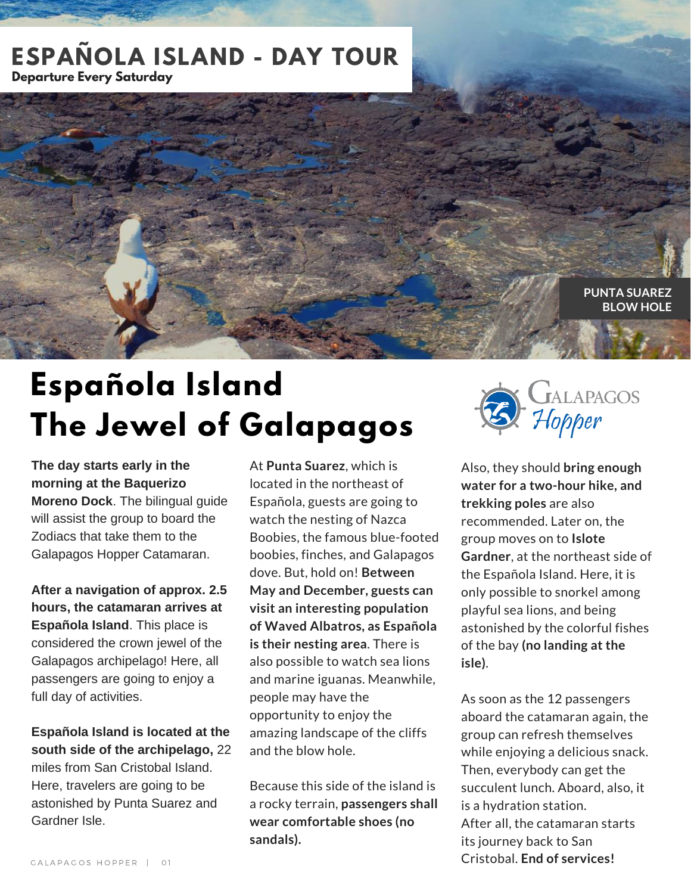#### **ESPAÑOLA ISLAND - DAY TOUR DECEMBER 2016 Departure Every Saturday**

**PUNTA SUAREZ BLOW HOLE**

# **Española Island The Jewel of Galapagos**

**The day starts early in the morning at the Baquerizo Moreno Dock**. The bilingual guide will assist the group to board the Zodiacs that take them to the Galapagos Hopper Catamaran.

**After a navigation of approx. 2.5 hours, the catamaran arrives at Española Island**. This place is considered the crown jewel of the Galapagos archipelago! Here, all passengers are going to enjoy a full day of activities.

**Española Island is located at the south side of the archipelago,** 22 miles from San Cristobal Island. Here, travelers are going to be astonished by Punta Suarez and Gardner Isle.

At **Punta Suarez**, which is located in the northeast of Española, guests are going to watch the nesting of Nazca Boobies, the famous blue-footed boobies, finches, and Galapagos dove. But, hold on! **Between May and December, guests can visit an interesting population of Waved Albatros, as Española is their nesting area**. There is also possible to watch sea lions and marine iguanas. Meanwhile, people may have the opportunity to enjoy the amazing landscape of the cliffs and the blow hole.

Because this side of the island is a rocky terrain, **passengers shall wear comfortable shoes (no sandals).**



Also, they should **bring enough water for a two-hour hike, and trekking poles** are also recommended. Later on, the group moves on to **Islote Gardner**, at the northeast side of the Española Island. Here, it is only possible to snorkel among playful sea lions, and being astonished by the colorful fishes of the bay **(no landing at the isle)**.

As soon as the 12 passengers aboard the catamaran again, the group can refresh themselves while enjoying a delicious snack. Then, everybody can get the succulent lunch. Aboard, also, it is a hydration station. After all, the catamaran starts its journey back to San Cristobal. **End of services!**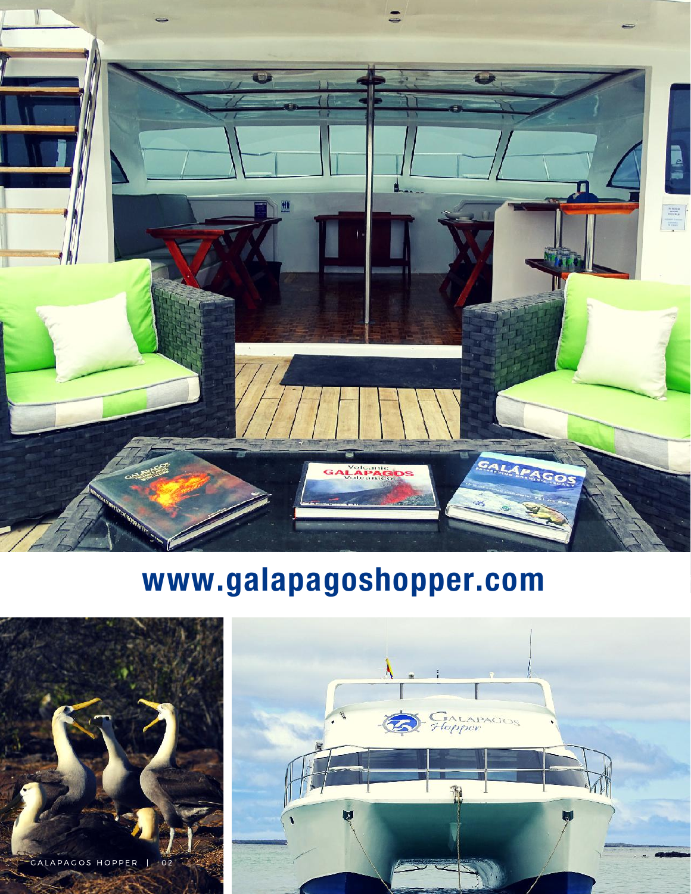

## www.galapagoshopper.com